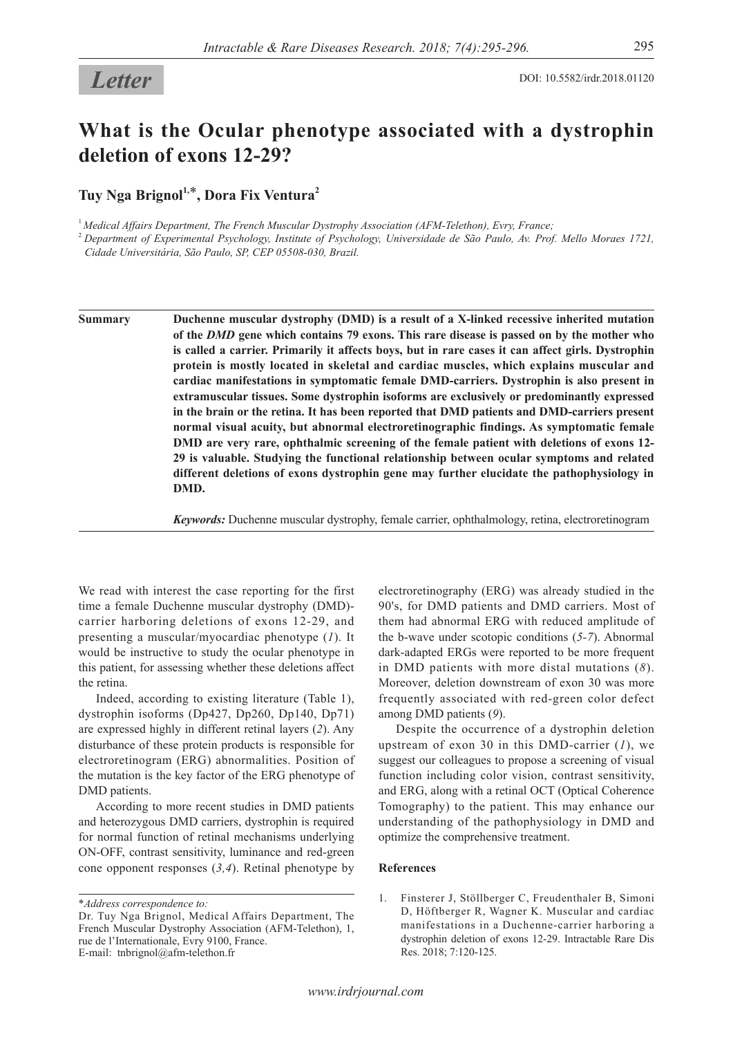## **What is the Ocular phenotype associated with a dystrophin deletion of exons 12-29?**

Tuy Nga Brignol<sup>1,\*</sup>, Dora Fix Ventura<sup>2</sup>

<sup>1</sup>*Medical Affairs Department, The French Muscular Dystrophy Association (AFM-Telethon), Evry, France;*

<sup>2</sup>*Department of Experimental Psychology, Institute of Psychology, Universidade de São Paulo, Av. Prof. Mello Moraes 1721, Cidade Universitária, São Paulo, SP, CEP 05508-030, Brazil.*

**Summary Duchenne muscular dystrophy (DMD) is a result of a X-linked recessive inherited mutation of the** *DMD* **gene which contains 79 exons. This rare disease is passed on by the mother who is called a carrier. Primarily it affects boys, but in rare cases it can affect girls. Dystrophin protein is mostly located in skeletal and cardiac muscles, which explains muscular and cardiac manifestations in symptomatic female DMD-carriers. Dystrophin is also present in extramuscular tissues. Some dystrophin isoforms are exclusively or predominantly expressed in the brain or the retina. It has been reported that DMD patients and DMD-carriers present normal visual acuity, but abnormal electroretinographic findings. As symptomatic female DMD are very rare, ophthalmic screening of the female patient with deletions of exons 12- 29 is valuable. Studying the functional relationship between ocular symptoms and related different deletions of exons dystrophin gene may further elucidate the pathophysiology in DMD.**

*Keywords:* Duchenne muscular dystrophy, female carrier, ophthalmology, retina, electroretinogram

We read with interest the case reporting for the first time a female Duchenne muscular dystrophy (DMD) carrier harboring deletions of exons 12-29, and presenting a muscular/myocardiac phenotype (*1*). It would be instructive to study the ocular phenotype in this patient, for assessing whether these deletions affect the retina.

Indeed, according to existing literature (Table 1), dystrophin isoforms (Dp427, Dp260, Dp140, Dp71) are expressed highly in different retinal layers (*2*). Any disturbance of these protein products is responsible for electroretinogram (ERG) abnormalities. Position of the mutation is the key factor of the ERG phenotype of DMD patients.

According to more recent studies in DMD patients and heterozygous DMD carriers, dystrophin is required for normal function of retinal mechanisms underlying ON-OFF, contrast sensitivity, luminance and red-green cone opponent responses (*3,4*). Retinal phenotype by

\**Address correspondence to:*

electroretinography (ERG) was already studied in the 90's, for DMD patients and DMD carriers. Most of them had abnormal ERG with reduced amplitude of the b-wave under scotopic conditions (*5-7*). Abnormal dark-adapted ERGs were reported to be more frequent in DMD patients with more distal mutations (*8*). Moreover, deletion downstream of exon 30 was more frequently associated with red-green color defect among DMD patients (*9*).

Despite the occurrence of a dystrophin deletion upstream of exon 30 in this DMD-carrier (*1*), we suggest our colleagues to propose a screening of visual function including color vision, contrast sensitivity, and ERG, along with a retinal OCT (Optical Coherence Tomography) to the patient. This may enhance our understanding of the pathophysiology in DMD and optimize the comprehensive treatment.

## **References**

1. Finsterer J, Stöllberger C, Freudenthaler B, Simoni D, Höftberger R, Wagner K. Muscular and cardiac manifestations in a Duchenne-carrier harboring a dystrophin deletion of exons 12-29. Intractable Rare Dis Res. 2018; 7:120-125.

Dr. Tuy Nga Brignol, Medical Affairs Department, The French Muscular Dystrophy Association (AFM-Telethon), 1, rue de l'Internationale, Evry 9100, France. E-mail: tnbrignol@afm-telethon.fr